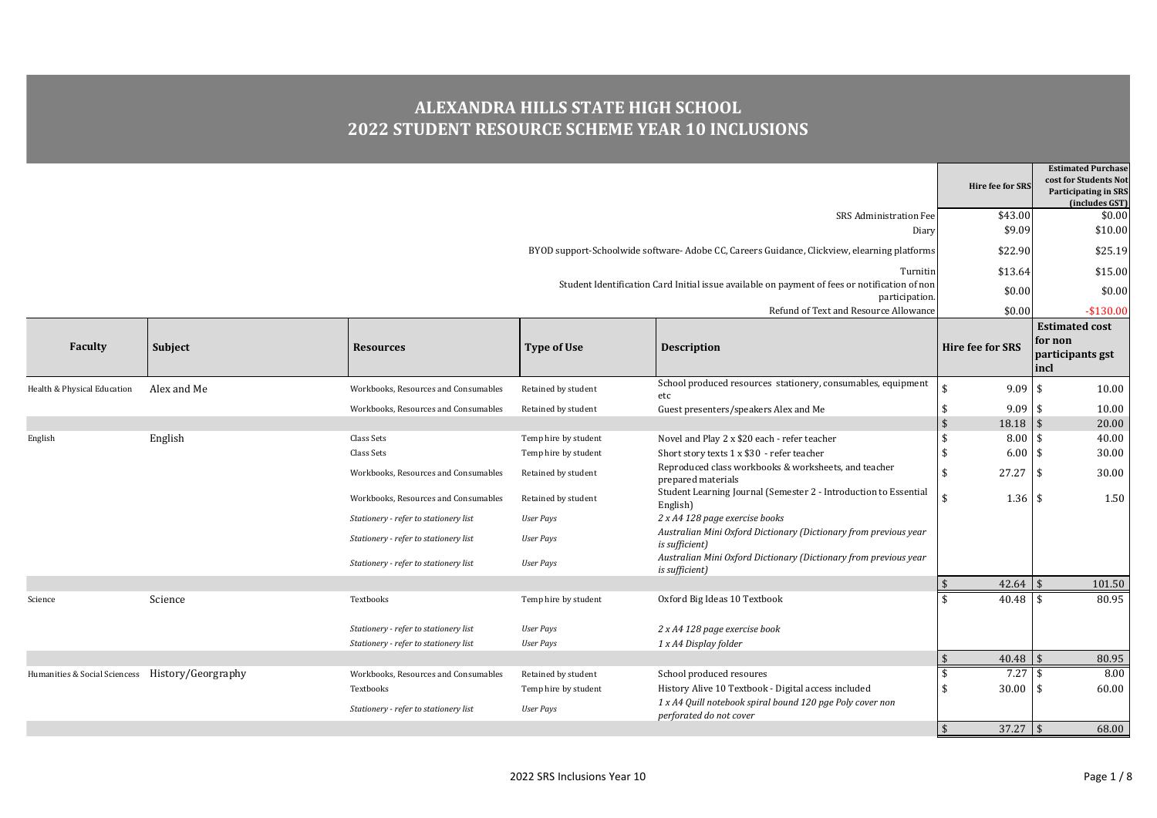## **ALEXANDRA HILLS STATE HIGH SCHOOL 2022 STUDENT RESOURCE SCHEME YEAR 10 INCLUSIONS**

| \$43.00<br>SRS Administration Fee<br>\$9.09<br>Diary<br>BYOD support-Schoolwide software-Adobe CC, Careers Guidance, Clickview, elearning platforms<br>\$22.90<br>\$13.64<br>Turnitin<br>Student Identification Card Initial issue available on payment of fees or notification of non<br>\$0.00<br>participation.<br>\$0.00<br>Refund of Text and Resource Allowance<br>for non<br><b>Hire fee for SRS</b><br><b>Faculty</b><br>Subject<br><b>Type of Use</b><br><b>Resources</b><br><b>Description</b><br>incl<br>School produced resources stationery, consumables, equipment<br>9.09<br>Alex and Me<br>l \$<br>Health & Physical Education<br>Workbooks, Resources and Consumables<br>Retained by student<br>etc<br>Guest presenters/speakers Alex and Me<br>9.09<br>Workbooks, Resources and Consumables<br>Retained by student<br>ا ا<br>$\sqrt[6]{3}$<br>18.18<br>8.00<br>English<br>Novel and Play 2 x \$20 each - refer teacher<br>-\$<br>Class Sets<br>Temp hire by student<br>l S<br>English<br>Short story texts 1 x \$30 - refer teacher<br>6.00<br>l \$<br>Class Sets<br>Temp hire by student<br>Reproduced class workbooks & worksheets, and teacher<br>27.27<br>\$<br>Workbooks, Resources and Consumables<br>l \$<br>Retained by student<br>prepared materials<br>Student Learning Journal (Semester 2 - Introduction to Essential<br>$1.36$ \$<br>Workbooks, Resources and Consumables<br>Retained by student<br>English)<br>2 x A4 128 page exercise books<br>Stationery - refer to stationery list<br><b>User Pays</b><br>Australian Mini Oxford Dictionary (Dictionary from previous year<br>Stationery - refer to stationery list<br><b>User Pays</b><br>is sufficient)<br>Australian Mini Oxford Dictionary (Dictionary from previous year<br>Stationery - refer to stationery list<br><b>User Pays</b><br>is sufficient)<br>$\mathsf{\$}$<br>42.64<br>$\mathcal{S}$<br>40.48<br>Science<br>Oxford Big Ideas 10 Textbook<br>Textbooks<br>Temp hire by student<br>Science<br>l \$<br>Stationery - refer to stationery list<br><b>User Pays</b><br>2 x A4 128 page exercise book<br>1 x A4 Display folder<br>Stationery - refer to stationery list<br><b>User Pays</b><br>$\sqrt{5}$<br>$40.48$ \$<br>$7.27$ \$<br>Humanities & Social Sciencess History/Georgraphy<br>\$<br>Workbooks, Resources and Consumables<br>School produced resoures<br>Retained by student<br>History Alive 10 Textbook - Digital access included<br>30.00<br>-\$<br>Textbooks<br>Temp hire by student<br>1 S<br>1 x A4 Quill notebook spiral bound 120 pge Poly cover non<br>Stationery - refer to stationery list<br><b>User Pays</b><br>perforated do not cover |  |  | <b>Hire fee for SRS</b>     | <b>Estimated Purchase</b><br>cost for Students Not<br><b>Participating in SRS</b><br>(includes GST) |
|-------------------------------------------------------------------------------------------------------------------------------------------------------------------------------------------------------------------------------------------------------------------------------------------------------------------------------------------------------------------------------------------------------------------------------------------------------------------------------------------------------------------------------------------------------------------------------------------------------------------------------------------------------------------------------------------------------------------------------------------------------------------------------------------------------------------------------------------------------------------------------------------------------------------------------------------------------------------------------------------------------------------------------------------------------------------------------------------------------------------------------------------------------------------------------------------------------------------------------------------------------------------------------------------------------------------------------------------------------------------------------------------------------------------------------------------------------------------------------------------------------------------------------------------------------------------------------------------------------------------------------------------------------------------------------------------------------------------------------------------------------------------------------------------------------------------------------------------------------------------------------------------------------------------------------------------------------------------------------------------------------------------------------------------------------------------------------------------------------------------------------------------------------------------------------------------------------------------------------------------------------------------------------------------------------------------------------------------------------------------------------------------------------------------------------------------------------------------------------------------------------------------------------------------------------------------------------------------------------------------------------------------------------------------|--|--|-----------------------------|-----------------------------------------------------------------------------------------------------|
|                                                                                                                                                                                                                                                                                                                                                                                                                                                                                                                                                                                                                                                                                                                                                                                                                                                                                                                                                                                                                                                                                                                                                                                                                                                                                                                                                                                                                                                                                                                                                                                                                                                                                                                                                                                                                                                                                                                                                                                                                                                                                                                                                                                                                                                                                                                                                                                                                                                                                                                                                                                                                                                                   |  |  |                             | \$0.00                                                                                              |
|                                                                                                                                                                                                                                                                                                                                                                                                                                                                                                                                                                                                                                                                                                                                                                                                                                                                                                                                                                                                                                                                                                                                                                                                                                                                                                                                                                                                                                                                                                                                                                                                                                                                                                                                                                                                                                                                                                                                                                                                                                                                                                                                                                                                                                                                                                                                                                                                                                                                                                                                                                                                                                                                   |  |  |                             | \$10.00                                                                                             |
|                                                                                                                                                                                                                                                                                                                                                                                                                                                                                                                                                                                                                                                                                                                                                                                                                                                                                                                                                                                                                                                                                                                                                                                                                                                                                                                                                                                                                                                                                                                                                                                                                                                                                                                                                                                                                                                                                                                                                                                                                                                                                                                                                                                                                                                                                                                                                                                                                                                                                                                                                                                                                                                                   |  |  |                             | \$25.19                                                                                             |
|                                                                                                                                                                                                                                                                                                                                                                                                                                                                                                                                                                                                                                                                                                                                                                                                                                                                                                                                                                                                                                                                                                                                                                                                                                                                                                                                                                                                                                                                                                                                                                                                                                                                                                                                                                                                                                                                                                                                                                                                                                                                                                                                                                                                                                                                                                                                                                                                                                                                                                                                                                                                                                                                   |  |  |                             | \$15.00                                                                                             |
|                                                                                                                                                                                                                                                                                                                                                                                                                                                                                                                                                                                                                                                                                                                                                                                                                                                                                                                                                                                                                                                                                                                                                                                                                                                                                                                                                                                                                                                                                                                                                                                                                                                                                                                                                                                                                                                                                                                                                                                                                                                                                                                                                                                                                                                                                                                                                                                                                                                                                                                                                                                                                                                                   |  |  |                             | \$0.00                                                                                              |
|                                                                                                                                                                                                                                                                                                                                                                                                                                                                                                                                                                                                                                                                                                                                                                                                                                                                                                                                                                                                                                                                                                                                                                                                                                                                                                                                                                                                                                                                                                                                                                                                                                                                                                                                                                                                                                                                                                                                                                                                                                                                                                                                                                                                                                                                                                                                                                                                                                                                                                                                                                                                                                                                   |  |  |                             | $-$130.00$                                                                                          |
|                                                                                                                                                                                                                                                                                                                                                                                                                                                                                                                                                                                                                                                                                                                                                                                                                                                                                                                                                                                                                                                                                                                                                                                                                                                                                                                                                                                                                                                                                                                                                                                                                                                                                                                                                                                                                                                                                                                                                                                                                                                                                                                                                                                                                                                                                                                                                                                                                                                                                                                                                                                                                                                                   |  |  |                             | <b>Estimated cost</b>                                                                               |
|                                                                                                                                                                                                                                                                                                                                                                                                                                                                                                                                                                                                                                                                                                                                                                                                                                                                                                                                                                                                                                                                                                                                                                                                                                                                                                                                                                                                                                                                                                                                                                                                                                                                                                                                                                                                                                                                                                                                                                                                                                                                                                                                                                                                                                                                                                                                                                                                                                                                                                                                                                                                                                                                   |  |  |                             | participants gst                                                                                    |
|                                                                                                                                                                                                                                                                                                                                                                                                                                                                                                                                                                                                                                                                                                                                                                                                                                                                                                                                                                                                                                                                                                                                                                                                                                                                                                                                                                                                                                                                                                                                                                                                                                                                                                                                                                                                                                                                                                                                                                                                                                                                                                                                                                                                                                                                                                                                                                                                                                                                                                                                                                                                                                                                   |  |  |                             | 10.00                                                                                               |
|                                                                                                                                                                                                                                                                                                                                                                                                                                                                                                                                                                                                                                                                                                                                                                                                                                                                                                                                                                                                                                                                                                                                                                                                                                                                                                                                                                                                                                                                                                                                                                                                                                                                                                                                                                                                                                                                                                                                                                                                                                                                                                                                                                                                                                                                                                                                                                                                                                                                                                                                                                                                                                                                   |  |  |                             | 10.00                                                                                               |
|                                                                                                                                                                                                                                                                                                                                                                                                                                                                                                                                                                                                                                                                                                                                                                                                                                                                                                                                                                                                                                                                                                                                                                                                                                                                                                                                                                                                                                                                                                                                                                                                                                                                                                                                                                                                                                                                                                                                                                                                                                                                                                                                                                                                                                                                                                                                                                                                                                                                                                                                                                                                                                                                   |  |  |                             | 20.00                                                                                               |
|                                                                                                                                                                                                                                                                                                                                                                                                                                                                                                                                                                                                                                                                                                                                                                                                                                                                                                                                                                                                                                                                                                                                                                                                                                                                                                                                                                                                                                                                                                                                                                                                                                                                                                                                                                                                                                                                                                                                                                                                                                                                                                                                                                                                                                                                                                                                                                                                                                                                                                                                                                                                                                                                   |  |  |                             | 40.00                                                                                               |
|                                                                                                                                                                                                                                                                                                                                                                                                                                                                                                                                                                                                                                                                                                                                                                                                                                                                                                                                                                                                                                                                                                                                                                                                                                                                                                                                                                                                                                                                                                                                                                                                                                                                                                                                                                                                                                                                                                                                                                                                                                                                                                                                                                                                                                                                                                                                                                                                                                                                                                                                                                                                                                                                   |  |  |                             | 30.00                                                                                               |
|                                                                                                                                                                                                                                                                                                                                                                                                                                                                                                                                                                                                                                                                                                                                                                                                                                                                                                                                                                                                                                                                                                                                                                                                                                                                                                                                                                                                                                                                                                                                                                                                                                                                                                                                                                                                                                                                                                                                                                                                                                                                                                                                                                                                                                                                                                                                                                                                                                                                                                                                                                                                                                                                   |  |  |                             | 30.00                                                                                               |
|                                                                                                                                                                                                                                                                                                                                                                                                                                                                                                                                                                                                                                                                                                                                                                                                                                                                                                                                                                                                                                                                                                                                                                                                                                                                                                                                                                                                                                                                                                                                                                                                                                                                                                                                                                                                                                                                                                                                                                                                                                                                                                                                                                                                                                                                                                                                                                                                                                                                                                                                                                                                                                                                   |  |  |                             | 1.50                                                                                                |
|                                                                                                                                                                                                                                                                                                                                                                                                                                                                                                                                                                                                                                                                                                                                                                                                                                                                                                                                                                                                                                                                                                                                                                                                                                                                                                                                                                                                                                                                                                                                                                                                                                                                                                                                                                                                                                                                                                                                                                                                                                                                                                                                                                                                                                                                                                                                                                                                                                                                                                                                                                                                                                                                   |  |  |                             |                                                                                                     |
|                                                                                                                                                                                                                                                                                                                                                                                                                                                                                                                                                                                                                                                                                                                                                                                                                                                                                                                                                                                                                                                                                                                                                                                                                                                                                                                                                                                                                                                                                                                                                                                                                                                                                                                                                                                                                                                                                                                                                                                                                                                                                                                                                                                                                                                                                                                                                                                                                                                                                                                                                                                                                                                                   |  |  |                             |                                                                                                     |
|                                                                                                                                                                                                                                                                                                                                                                                                                                                                                                                                                                                                                                                                                                                                                                                                                                                                                                                                                                                                                                                                                                                                                                                                                                                                                                                                                                                                                                                                                                                                                                                                                                                                                                                                                                                                                                                                                                                                                                                                                                                                                                                                                                                                                                                                                                                                                                                                                                                                                                                                                                                                                                                                   |  |  |                             |                                                                                                     |
|                                                                                                                                                                                                                                                                                                                                                                                                                                                                                                                                                                                                                                                                                                                                                                                                                                                                                                                                                                                                                                                                                                                                                                                                                                                                                                                                                                                                                                                                                                                                                                                                                                                                                                                                                                                                                                                                                                                                                                                                                                                                                                                                                                                                                                                                                                                                                                                                                                                                                                                                                                                                                                                                   |  |  |                             | 101.50                                                                                              |
|                                                                                                                                                                                                                                                                                                                                                                                                                                                                                                                                                                                                                                                                                                                                                                                                                                                                                                                                                                                                                                                                                                                                                                                                                                                                                                                                                                                                                                                                                                                                                                                                                                                                                                                                                                                                                                                                                                                                                                                                                                                                                                                                                                                                                                                                                                                                                                                                                                                                                                                                                                                                                                                                   |  |  |                             | 80.95                                                                                               |
|                                                                                                                                                                                                                                                                                                                                                                                                                                                                                                                                                                                                                                                                                                                                                                                                                                                                                                                                                                                                                                                                                                                                                                                                                                                                                                                                                                                                                                                                                                                                                                                                                                                                                                                                                                                                                                                                                                                                                                                                                                                                                                                                                                                                                                                                                                                                                                                                                                                                                                                                                                                                                                                                   |  |  |                             |                                                                                                     |
|                                                                                                                                                                                                                                                                                                                                                                                                                                                                                                                                                                                                                                                                                                                                                                                                                                                                                                                                                                                                                                                                                                                                                                                                                                                                                                                                                                                                                                                                                                                                                                                                                                                                                                                                                                                                                                                                                                                                                                                                                                                                                                                                                                                                                                                                                                                                                                                                                                                                                                                                                                                                                                                                   |  |  |                             |                                                                                                     |
|                                                                                                                                                                                                                                                                                                                                                                                                                                                                                                                                                                                                                                                                                                                                                                                                                                                                                                                                                                                                                                                                                                                                                                                                                                                                                                                                                                                                                                                                                                                                                                                                                                                                                                                                                                                                                                                                                                                                                                                                                                                                                                                                                                                                                                                                                                                                                                                                                                                                                                                                                                                                                                                                   |  |  |                             | 80.95                                                                                               |
|                                                                                                                                                                                                                                                                                                                                                                                                                                                                                                                                                                                                                                                                                                                                                                                                                                                                                                                                                                                                                                                                                                                                                                                                                                                                                                                                                                                                                                                                                                                                                                                                                                                                                                                                                                                                                                                                                                                                                                                                                                                                                                                                                                                                                                                                                                                                                                                                                                                                                                                                                                                                                                                                   |  |  |                             | 8.00                                                                                                |
|                                                                                                                                                                                                                                                                                                                                                                                                                                                                                                                                                                                                                                                                                                                                                                                                                                                                                                                                                                                                                                                                                                                                                                                                                                                                                                                                                                                                                                                                                                                                                                                                                                                                                                                                                                                                                                                                                                                                                                                                                                                                                                                                                                                                                                                                                                                                                                                                                                                                                                                                                                                                                                                                   |  |  |                             | 60.00                                                                                               |
|                                                                                                                                                                                                                                                                                                                                                                                                                                                                                                                                                                                                                                                                                                                                                                                                                                                                                                                                                                                                                                                                                                                                                                                                                                                                                                                                                                                                                                                                                                                                                                                                                                                                                                                                                                                                                                                                                                                                                                                                                                                                                                                                                                                                                                                                                                                                                                                                                                                                                                                                                                                                                                                                   |  |  |                             |                                                                                                     |
|                                                                                                                                                                                                                                                                                                                                                                                                                                                                                                                                                                                                                                                                                                                                                                                                                                                                                                                                                                                                                                                                                                                                                                                                                                                                                                                                                                                                                                                                                                                                                                                                                                                                                                                                                                                                                                                                                                                                                                                                                                                                                                                                                                                                                                                                                                                                                                                                                                                                                                                                                                                                                                                                   |  |  | $\mathbf{\hat{s}}$<br>37.27 | 68.00<br>$\overline{1}$                                                                             |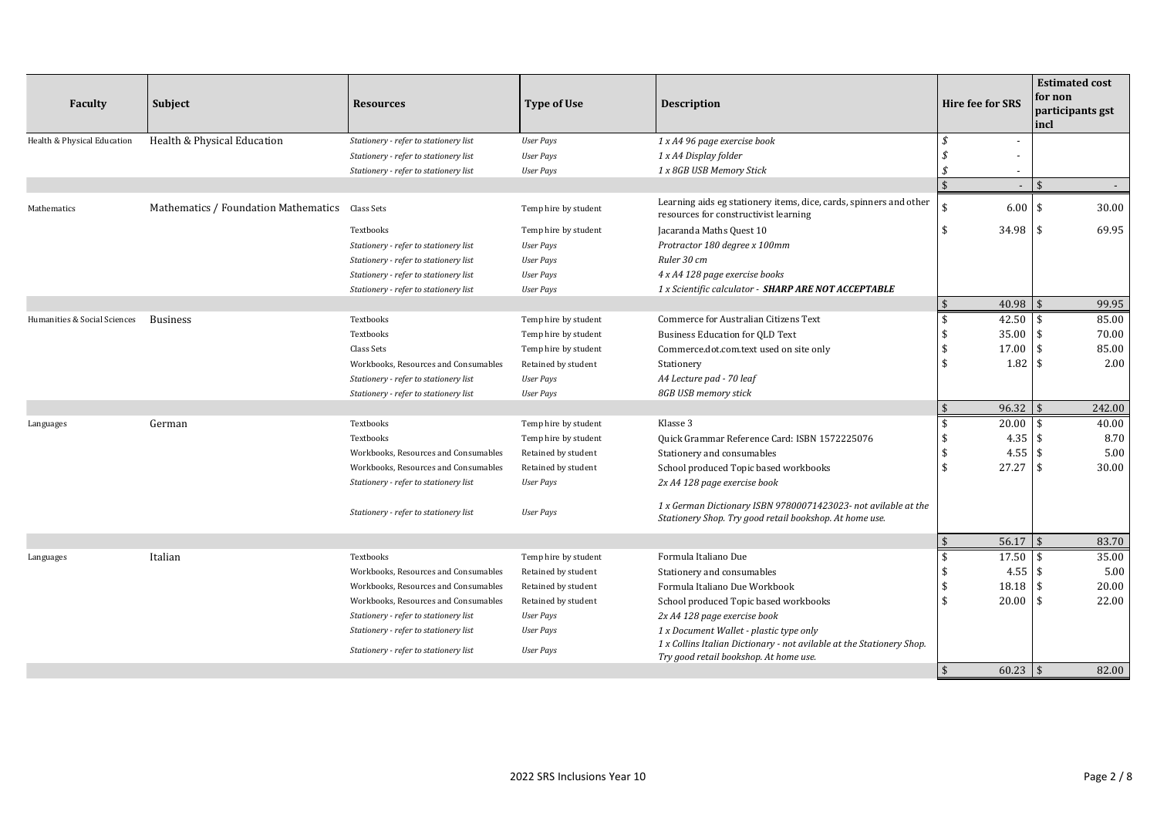| <b>Faculty</b>               | Subject                                         | <b>Resources</b>                      | <b>Type of Use</b>   | <b>Description</b>                                                                                                        | <b>Hire fee for SRS</b> |            | for non<br>incl         | <b>Estimated cost</b><br>participants gst |
|------------------------------|-------------------------------------------------|---------------------------------------|----------------------|---------------------------------------------------------------------------------------------------------------------------|-------------------------|------------|-------------------------|-------------------------------------------|
| Health & Physical Education  | Health & Physical Education                     | Stationery - refer to stationery list | User Pays            | 1 x A4 96 page exercise book                                                                                              | \$                      |            |                         |                                           |
|                              |                                                 | Stationery - refer to stationery list | <b>User Pays</b>     | 1 x A4 Display folder                                                                                                     |                         |            |                         |                                           |
|                              |                                                 | Stationery - refer to stationery list | <b>User Pays</b>     | 1 x 8GB USB Memory Stick                                                                                                  |                         |            |                         |                                           |
|                              |                                                 |                                       |                      |                                                                                                                           | $\hat{\mathbf{S}}$      |            | $\hat{\mathbf{S}}$      |                                           |
| Mathematics                  | Mathematics / Foundation Mathematics Class Sets |                                       | Temp hire by student | Learning aids eg stationery items, dice, cards, spinners and other<br>resources for constructivist learning               | \$                      | 6.00       | \$                      | 30.00                                     |
|                              |                                                 | Textbooks                             | Temp hire by student | Jacaranda Maths Quest 10                                                                                                  | \$                      | 34.98      | \$                      | 69.95                                     |
|                              |                                                 | Stationery - refer to stationery list | <b>User Pays</b>     | Protractor 180 degree x 100mm                                                                                             |                         |            |                         |                                           |
|                              |                                                 | Stationery - refer to stationery list | <b>User Pays</b>     | Ruler 30 cm                                                                                                               |                         |            |                         |                                           |
|                              |                                                 | Stationery - refer to stationery list | <b>User Pays</b>     | 4 x A4 128 page exercise books                                                                                            |                         |            |                         |                                           |
|                              |                                                 | Stationery - refer to stationery list | <b>User Pays</b>     | 1 x Scientific calculator - SHARP ARE NOT ACCEPTABLE                                                                      |                         |            |                         |                                           |
|                              |                                                 |                                       |                      |                                                                                                                           | $\sqrt{5}$              | 40.98      | $\overline{\mathbf{S}}$ | 99.95                                     |
| Humanities & Social Sciences | <b>Business</b>                                 | Textbooks                             | Temp hire by student | Commerce for Australian Citizens Text                                                                                     | \$                      | 42.50      | \$                      | 85.00                                     |
|                              |                                                 | Textbooks                             | Temp hire by student | <b>Business Education for QLD Text</b>                                                                                    |                         | 35.00      | \$                      | 70.00                                     |
|                              |                                                 | Class Sets                            | Temp hire by student | Commerce.dot.com.text used on site only                                                                                   | \$                      | 17.00      | \$                      | 85.00                                     |
|                              |                                                 | Workbooks, Resources and Consumables  | Retained by student  | Stationery                                                                                                                | \$                      | 1.82       | \$                      | 2.00                                      |
|                              |                                                 | Stationery - refer to stationery list | <b>User Pays</b>     | A4 Lecture pad - 70 leaf                                                                                                  |                         |            |                         |                                           |
|                              |                                                 | Stationery - refer to stationery list | <b>User Pays</b>     | 8GB USB memory stick                                                                                                      |                         |            |                         |                                           |
|                              |                                                 |                                       |                      |                                                                                                                           | $\sqrt{5}$              | 96.32      | $\mathfrak{F}$          | 242.00                                    |
| Languages                    | German                                          | Textbooks                             | Temp hire by student | Klasse 3                                                                                                                  | \$                      | 20.00      | \$                      | 40.00                                     |
|                              |                                                 | Textbooks                             | Temp hire by student | Quick Grammar Reference Card: ISBN 1572225076                                                                             | \$                      | 4.35       | \$                      | 8.70                                      |
|                              |                                                 | Workbooks, Resources and Consumables  | Retained by student  | Stationery and consumables                                                                                                | \$                      | 4.55       | \$                      | 5.00                                      |
|                              |                                                 | Workbooks, Resources and Consumables  | Retained by student  | School produced Topic based workbooks                                                                                     | \$                      | 27.27      | $\sqrt{2}$              | 30.00                                     |
|                              |                                                 | Stationery - refer to stationery list | <b>User Pays</b>     | 2x A4 128 page exercise book                                                                                              |                         |            |                         |                                           |
|                              |                                                 | Stationery - refer to stationery list | <b>User Pays</b>     | 1 x German Dictionary ISBN 97800071423023- not avilable at the<br>Stationery Shop. Try good retail bookshop. At home use. |                         |            |                         |                                           |
|                              |                                                 |                                       |                      |                                                                                                                           | $\sqrt{5}$              | 56.17      | $\frac{1}{2}$           | 83.70                                     |
| Languages                    | Italian                                         | Textbooks                             | Temp hire by student | Formula Italiano Due                                                                                                      | \$                      | 17.50      | \$                      | 35.00                                     |
|                              |                                                 | Workbooks, Resources and Consumables  | Retained by student  | Stationery and consumables                                                                                                |                         | 4.55       | \$                      | 5.00                                      |
|                              |                                                 | Workbooks, Resources and Consumables  | Retained by student  | Formula Italiano Due Workbook                                                                                             |                         | 18.18      | \$                      | 20.00                                     |
|                              |                                                 | Workbooks, Resources and Consumables  | Retained by student  | School produced Topic based workbooks                                                                                     | \$                      | 20.00      | \$                      | 22.00                                     |
|                              |                                                 | Stationery - refer to stationery list | <b>User Pays</b>     | 2x A4 128 page exercise book                                                                                              |                         |            |                         |                                           |
|                              |                                                 | Stationery - refer to stationery list | <b>User Pays</b>     | 1 x Document Wallet - plastic type only                                                                                   |                         |            |                         |                                           |
|                              |                                                 | Stationery - refer to stationery list | <b>User Pays</b>     | 1 x Collins Italian Dictionary - not avilable at the Stationery Shop.<br>Try good retail bookshop. At home use.           |                         |            |                         |                                           |
|                              |                                                 |                                       |                      |                                                                                                                           | $\sqrt{5}$              | $60.23$ \$ |                         | 82.00                                     |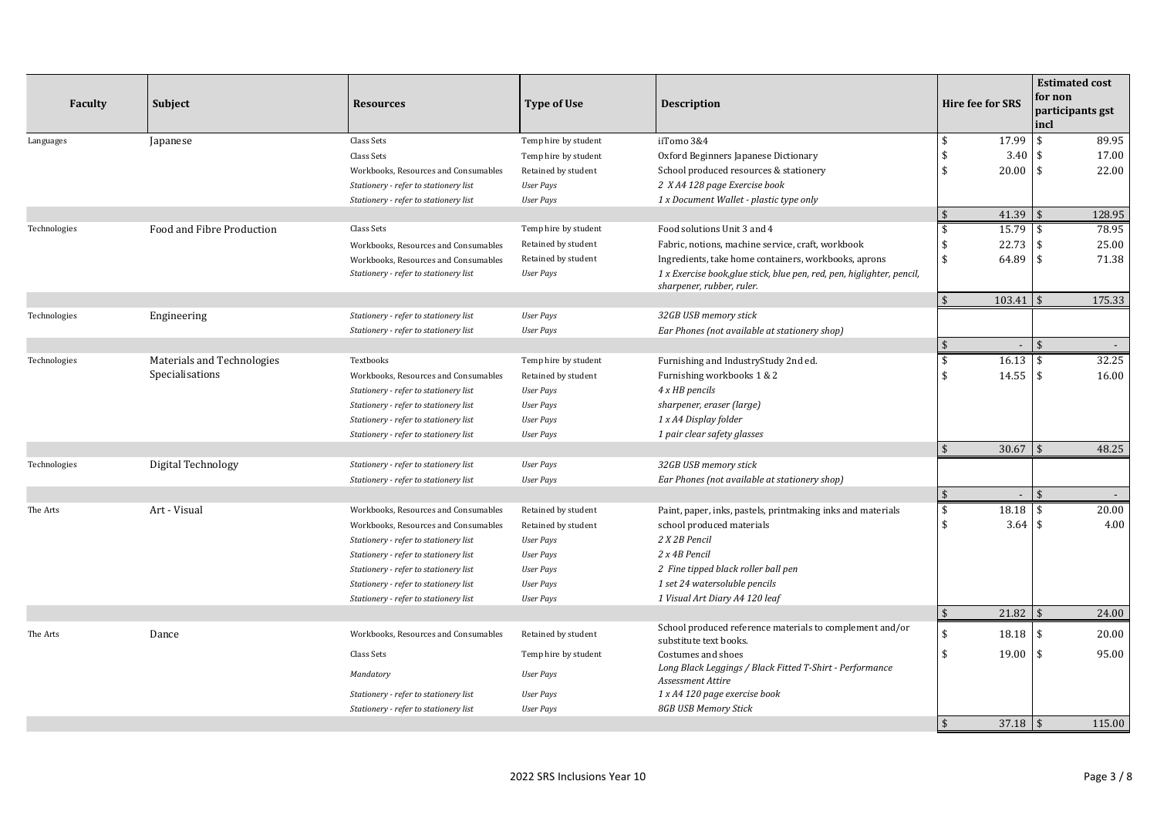| <b>Faculty</b> | Subject                    | <b>Resources</b>                      |                      | <b>Type of Use</b>                                                                                  | <b>Description</b> |                          | <b>Hire fee for SRS</b> | <b>Estimated cost</b><br>for non<br>participants gst<br>incl |  |
|----------------|----------------------------|---------------------------------------|----------------------|-----------------------------------------------------------------------------------------------------|--------------------|--------------------------|-------------------------|--------------------------------------------------------------|--|
| Languages      | Japanese                   | Class Sets                            | Temp hire by student | iiTomo 3&4                                                                                          | \$                 | 17.99                    | \$                      | 89.95                                                        |  |
|                |                            | Class Sets                            | Temp hire by student | Oxford Beginners Japanese Dictionary                                                                | \$                 | 3.40                     | \$                      | 17.00                                                        |  |
|                |                            | Workbooks, Resources and Consumables  | Retained by student  | School produced resources & stationery                                                              | \$                 | 20.00                    | $\mathbf{\hat{S}}$      | 22.00                                                        |  |
|                |                            | Stationery - refer to stationery list | <b>User Pays</b>     | 2 X A4 128 page Exercise book                                                                       |                    |                          |                         |                                                              |  |
|                |                            | Stationery - refer to stationery list | <b>User Pays</b>     | 1 x Document Wallet - plastic type only                                                             |                    |                          |                         |                                                              |  |
|                |                            |                                       |                      |                                                                                                     | $\sqrt{2}$         | 41.39                    | l \$                    | 128.95                                                       |  |
| Technologies   | Food and Fibre Production  | Class Sets                            | Temp hire by student | Food solutions Unit 3 and 4                                                                         | \$                 | 15.79                    | £.                      | 78.95                                                        |  |
|                |                            | Workbooks, Resources and Consumables  | Retained by student  | Fabric, notions, machine service, craft, workbook                                                   | \$                 | 22.73                    | \$                      | 25.00                                                        |  |
|                |                            | Workbooks, Resources and Consumables  | Retained by student  | Ingredients, take home containers, workbooks, aprons                                                | \$                 | 64.89                    | \$                      | 71.38                                                        |  |
|                |                            | Stationery - refer to stationery list | <b>User Pays</b>     | 1 x Exercise book, glue stick, blue pen, red, pen, higlighter, pencil,<br>sharpener, rubber, ruler. |                    |                          |                         |                                                              |  |
|                |                            |                                       |                      |                                                                                                     | $\sqrt{2}$         | 103.41                   |                         | 175.33                                                       |  |
| Technologies   | Engineering                | Stationery - refer to stationery list | <b>User Pays</b>     | 32GB USB memory stick                                                                               |                    |                          |                         |                                                              |  |
|                |                            | Stationery - refer to stationery list | <b>User Pays</b>     | Ear Phones (not available at stationery shop)                                                       |                    |                          |                         |                                                              |  |
|                |                            |                                       |                      |                                                                                                     | \$                 | $\overline{\phantom{a}}$ | $\mathbf{\hat{S}}$      | $\sim$                                                       |  |
| Technologies   | Materials and Technologies | Textbooks                             | Temp hire by student | Furnishing and IndustryStudy 2nd ed.                                                                | \$                 | 16.13                    | \$                      | 32.25                                                        |  |
|                | Specialisations            | Workbooks, Resources and Consumables  | Retained by student  | Furnishing workbooks 1 & 2                                                                          | $\mathbf{\hat{S}}$ | 14.55                    | \$                      | 16.00                                                        |  |
|                |                            | Stationery - refer to stationery list | <b>User Pays</b>     | 4 x HB pencils                                                                                      |                    |                          |                         |                                                              |  |
|                |                            | Stationery - refer to stationery list | <b>User Pays</b>     | sharpener, eraser (large)                                                                           |                    |                          |                         |                                                              |  |
|                |                            | Stationery - refer to stationery list | <b>User Pays</b>     | 1 x A4 Display folder                                                                               |                    |                          |                         |                                                              |  |
|                |                            | Stationery - refer to stationery list | <b>User Pays</b>     | 1 pair clear safety glasses                                                                         |                    |                          |                         |                                                              |  |
|                |                            |                                       |                      |                                                                                                     | $\sqrt{5}$         | 30.67                    | $\sqrt{5}$              | 48.25                                                        |  |
| Technologies   | Digital Technology         | Stationery - refer to stationery list | <b>User Pays</b>     | 32GB USB memory stick                                                                               |                    |                          |                         |                                                              |  |
|                |                            | Stationery - refer to stationery list | <b>User Pays</b>     | Ear Phones (not available at stationery shop)                                                       |                    |                          |                         |                                                              |  |
|                |                            |                                       |                      |                                                                                                     | $\mathfrak{S}$     |                          | \$                      | $\overline{\phantom{a}}$                                     |  |
| The Arts       | Art - Visual               | Workbooks, Resources and Consumables  | Retained by student  | Paint, paper, inks, pastels, printmaking inks and materials                                         | \$                 | 18.18                    | \$                      | 20.00                                                        |  |
|                |                            | Workbooks, Resources and Consumables  | Retained by student  | school produced materials                                                                           | \$                 | 3.64                     | \$                      | 4.00                                                         |  |
|                |                            | Stationery - refer to stationery list | <b>User Pays</b>     | 2 X 2B Pencil                                                                                       |                    |                          |                         |                                                              |  |
|                |                            | Stationery - refer to stationery list | <b>User Pays</b>     | 2 x 4B Pencil                                                                                       |                    |                          |                         |                                                              |  |
|                |                            | Stationery - refer to stationery list | <b>User Pays</b>     | 2 Fine tipped black roller ball pen                                                                 |                    |                          |                         |                                                              |  |
|                |                            | Stationery - refer to stationery list | <b>User Pays</b>     | 1 set 24 watersoluble pencils                                                                       |                    |                          |                         |                                                              |  |
|                |                            | Stationery - refer to stationery list | <b>User Pays</b>     | 1 Visual Art Diary A4 120 leaf                                                                      |                    |                          |                         |                                                              |  |
|                |                            |                                       |                      |                                                                                                     | $\sqrt{5}$         | $21.82$ \$               |                         | 24.00                                                        |  |
| The Arts       | Dance                      | Workbooks, Resources and Consumables  | Retained by student  | School produced reference materials to complement and/or<br>substitute text books.                  | \$                 | 18.18                    | \$                      | 20.00                                                        |  |
|                |                            | Class Sets                            | Temp hire by student | Costumes and shoes                                                                                  | \$                 | $19.00$   \$             |                         | 95.00                                                        |  |
|                |                            | Mandatory                             | <b>User Pays</b>     | Long Black Leggings / Black Fitted T-Shirt - Performance<br>Assessment Attire                       |                    |                          |                         |                                                              |  |
|                |                            | Stationery - refer to stationery list | <b>User Pays</b>     | 1 x A4 120 page exercise book                                                                       |                    |                          |                         |                                                              |  |
|                |                            | Stationery - refer to stationery list | <b>User Pays</b>     | 8GB USB Memory Stick                                                                                |                    |                          |                         |                                                              |  |
|                |                            |                                       |                      |                                                                                                     | $\mathbf{\hat{s}}$ | $37.18$   \$             |                         | 115.00                                                       |  |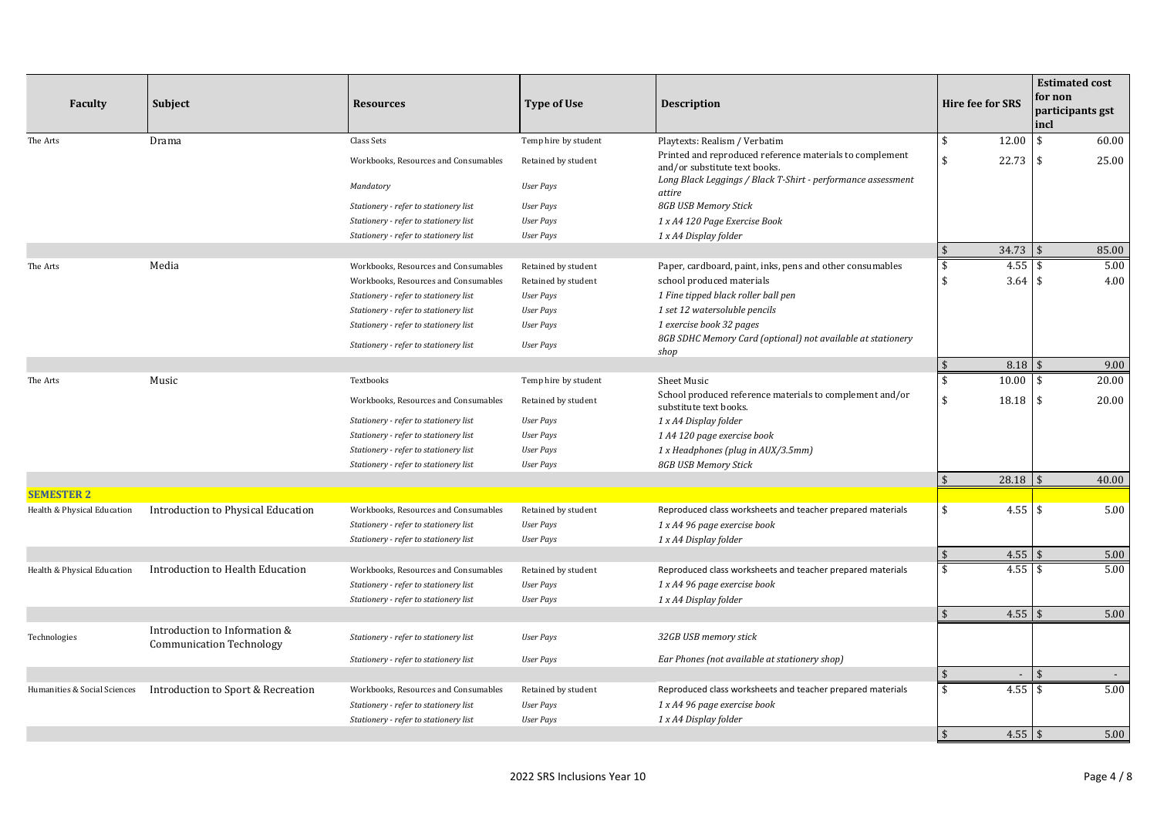| <b>Faculty</b>               | Subject                                                          | <b>Resources</b>                      | <b>Type of Use</b>   | <b>Description</b>                                                                        |                         | <b>Hire fee for SRS</b> | for non<br>incl    | <b>Estimated cost</b><br>participants gst |
|------------------------------|------------------------------------------------------------------|---------------------------------------|----------------------|-------------------------------------------------------------------------------------------|-------------------------|-------------------------|--------------------|-------------------------------------------|
| The Arts                     | Drama                                                            | Class Sets                            | Temp hire by student | Playtexts: Realism / Verbatim                                                             | \$                      | 12.00                   | $\mathbf{\hat{s}}$ | 60.00                                     |
|                              |                                                                  | Workbooks, Resources and Consumables  | Retained by student  | Printed and reproduced reference materials to complement<br>and/or substitute text books. | \$                      | 22.73                   | \$                 | 25.00                                     |
|                              |                                                                  | Mandatory                             | <b>User Pays</b>     | Long Black Leggings / Black T-Shirt - performance assessment<br>attire                    |                         |                         |                    |                                           |
|                              |                                                                  | Stationery - refer to stationery list | <b>User Pays</b>     | 8GB USB Memory Stick                                                                      |                         |                         |                    |                                           |
|                              |                                                                  | Stationery - refer to stationery list | <b>User Pays</b>     | 1 x A4 120 Page Exercise Book                                                             |                         |                         |                    |                                           |
|                              |                                                                  | Stationery - refer to stationery list | <b>User Pays</b>     | 1 x A4 Display folder                                                                     |                         |                         |                    |                                           |
|                              |                                                                  |                                       |                      |                                                                                           | $\sqrt{5}$              | $34.73$ \$              |                    | 85.00                                     |
| The Arts                     | Media                                                            | Workbooks, Resources and Consumables  | Retained by student  | Paper, cardboard, paint, inks, pens and other consumables                                 | \$                      | 4.55                    | \$                 | 5.00                                      |
|                              |                                                                  | Workbooks, Resources and Consumables  | Retained by student  | school produced materials                                                                 | \$                      | $3.64$ \$               |                    | 4.00                                      |
|                              |                                                                  | Stationery - refer to stationery list | <b>User Pays</b>     | 1 Fine tipped black roller ball pen                                                       |                         |                         |                    |                                           |
|                              |                                                                  | Stationery - refer to stationery list | <b>User Pays</b>     | 1 set 12 watersoluble pencils                                                             |                         |                         |                    |                                           |
|                              |                                                                  | Stationery - refer to stationery list | <b>User Pays</b>     | 1 exercise book 32 pages                                                                  |                         |                         |                    |                                           |
|                              |                                                                  | Stationery - refer to stationery list | <b>User Pays</b>     | 8GB SDHC Memory Card (optional) not available at stationery<br>shop                       |                         |                         |                    |                                           |
|                              |                                                                  |                                       |                      |                                                                                           | $\sqrt{5}$              | 8.18                    | $\mathbf{\hat{S}}$ | 9.00                                      |
| The Arts                     | Music                                                            | Textbooks                             | Temp hire by student | Sheet Music                                                                               | \$                      | 10.00                   | \$                 | 20.00                                     |
|                              |                                                                  | Workbooks, Resources and Consumables  | Retained by student  | School produced reference materials to complement and/or<br>substitute text books.        | \$                      | 18.18                   | \$                 | 20.00                                     |
|                              |                                                                  | Stationery - refer to stationery list | <b>User Pays</b>     | 1 x A4 Display folder                                                                     |                         |                         |                    |                                           |
|                              |                                                                  | Stationery - refer to stationery list | <b>User Pays</b>     | 1 A4 120 page exercise book                                                               |                         |                         |                    |                                           |
|                              |                                                                  | Stationery - refer to stationery list | <b>User Pays</b>     | 1 x Headphones (plug in AUX/3.5mm)                                                        |                         |                         |                    |                                           |
|                              |                                                                  | Stationery - refer to stationery list | <b>User Pays</b>     | 8GB USB Memory Stick                                                                      |                         |                         |                    |                                           |
|                              |                                                                  |                                       |                      |                                                                                           | $\sqrt{5}$              | 28.18                   |                    | 40.00                                     |
| <b>SEMESTER 2</b>            |                                                                  |                                       |                      |                                                                                           |                         |                         |                    |                                           |
| Health & Physical Education  | Introduction to Physical Education                               | Workbooks, Resources and Consumables  | Retained by student  | Reproduced class worksheets and teacher prepared materials                                | \$                      | $4.55$ \ \ \$           |                    | 5.00                                      |
|                              |                                                                  | Stationery - refer to stationery list | <b>User Pays</b>     | 1 x A4 96 page exercise book                                                              |                         |                         |                    |                                           |
|                              |                                                                  | Stationery - refer to stationery list | <b>User Pays</b>     | 1 x A4 Display folder                                                                     |                         |                         |                    |                                           |
|                              |                                                                  |                                       |                      |                                                                                           | $\sqrt{5}$              | $4.55$ \$               |                    | 5.00                                      |
| Health & Physical Education  | Introduction to Health Education                                 | Workbooks, Resources and Consumables  | Retained by student  | Reproduced class worksheets and teacher prepared materials                                | \$                      | $4.55$ \ \ \$           |                    | 5.00                                      |
|                              |                                                                  | Stationery - refer to stationery list | <b>User Pays</b>     | 1 x A4 96 page exercise book                                                              |                         |                         |                    |                                           |
|                              |                                                                  | Stationery - refer to stationery list | <b>User Pays</b>     | 1 x A4 Display folder                                                                     |                         |                         |                    |                                           |
|                              |                                                                  |                                       |                      |                                                                                           | $\overline{\mathbf{5}}$ | $4.55$ \$               |                    | 5.00                                      |
| Technologies                 | Introduction to Information &<br><b>Communication Technology</b> | Stationery - refer to stationery list | <b>User Pays</b>     | 32GB USB memory stick                                                                     |                         |                         |                    |                                           |
|                              |                                                                  | Stationery - refer to stationery list | <b>User Pays</b>     | Ear Phones (not available at stationery shop)                                             |                         |                         |                    |                                           |
|                              |                                                                  |                                       |                      |                                                                                           | -\$                     |                         | ፍ                  |                                           |
| Humanities & Social Sciences | Introduction to Sport & Recreation                               | Workbooks, Resources and Consumables  | Retained by student  | Reproduced class worksheets and teacher prepared materials                                | \$                      | 4.55                    | $\mathbf{s}$       | 5.00                                      |
|                              |                                                                  | Stationery - refer to stationery list | <b>User Pays</b>     | 1 x A4 96 page exercise book                                                              |                         |                         |                    |                                           |
|                              |                                                                  | Stationery - refer to stationery list | <b>User Pays</b>     | 1 x A4 Display folder                                                                     |                         |                         |                    |                                           |
|                              |                                                                  |                                       |                      |                                                                                           | $\mathbf{\hat{s}}$      |                         |                    | 5.00                                      |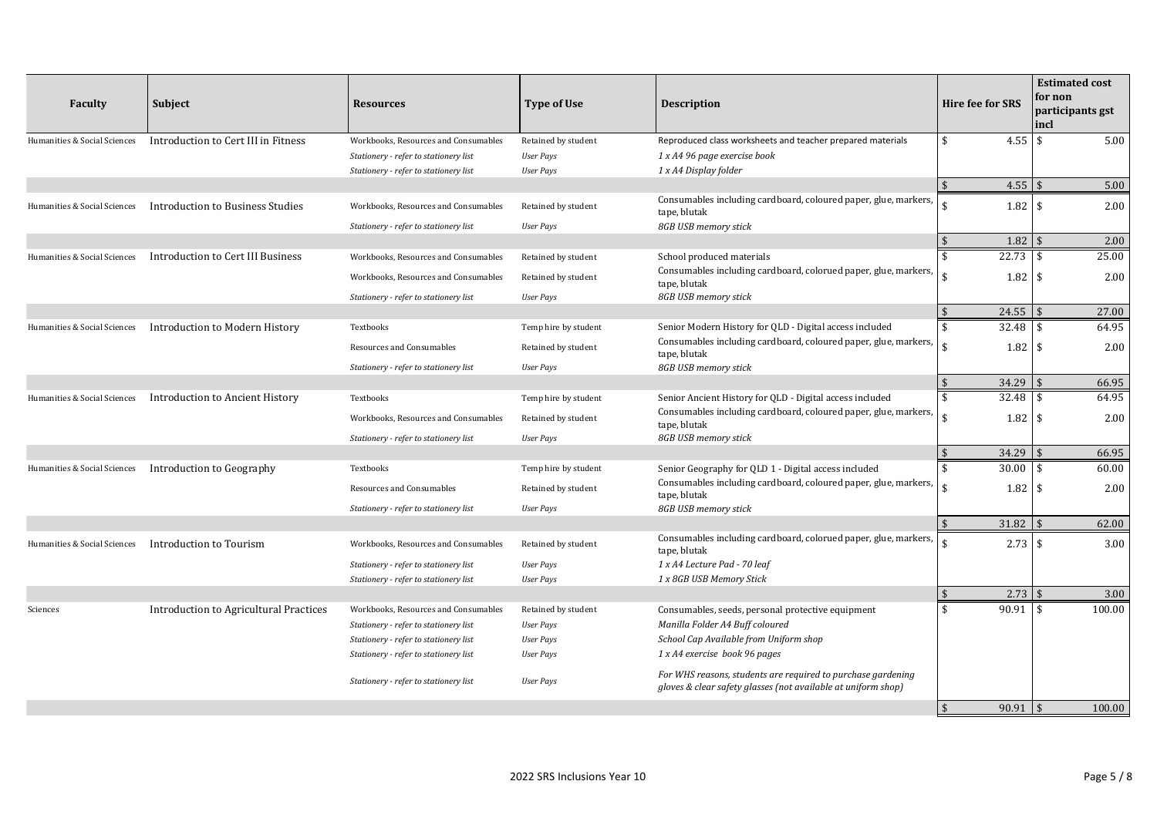| <b>Faculty</b>               | <b>Subject</b>                         | <b>Resources</b>                      | <b>Type of Use</b>   | <b>Description</b>                                                                                                            | <b>Hire fee for SRS</b>     | <b>Estimated cost</b><br>for non<br>participants gst<br>incl |
|------------------------------|----------------------------------------|---------------------------------------|----------------------|-------------------------------------------------------------------------------------------------------------------------------|-----------------------------|--------------------------------------------------------------|
| Humanities & Social Sciences | Introduction to Cert III in Fitness    | Workbooks, Resources and Consumables  | Retained by student  | Reproduced class worksheets and teacher prepared materials                                                                    | 4.55<br>\$                  | $\mathbf{\hat{S}}$<br>5.00                                   |
|                              |                                        | Stationery - refer to stationery list | <b>User Pays</b>     | 1 x A4 96 page exercise book                                                                                                  |                             |                                                              |
|                              |                                        | Stationery - refer to stationery list | <b>User Pays</b>     | 1 x A4 Display folder                                                                                                         |                             |                                                              |
|                              |                                        |                                       |                      |                                                                                                                               | $\sqrt{5}$<br>$4.55$ \$     | 5.00                                                         |
| Humanities & Social Sciences | Introduction to Business Studies       | Workbooks, Resources and Consumables  | Retained by student  | Consumables including cardboard, coloured paper, glue, markers,<br>tape, blutak                                               | $1.82 \;$ \$<br>\$          | 2.00                                                         |
|                              |                                        | Stationery - refer to stationery list | <b>User Pays</b>     | 8GB USB memory stick                                                                                                          |                             |                                                              |
|                              |                                        |                                       |                      |                                                                                                                               | 1.82<br>$\mathbf{\hat{S}}$  | $\mathbf{\overline{S}}$<br>2.00                              |
| Humanities & Social Sciences | Introduction to Cert III Business      | Workbooks, Resources and Consumables  | Retained by student  | School produced materials                                                                                                     | 22.73<br>\$                 | 25.00<br>\$                                                  |
|                              |                                        | Workbooks, Resources and Consumables  | Retained by student  | Consumables including cardboard, colorued paper, glue, markers,<br>tape, blutak                                               | ፍ<br>1.82                   | \$<br>2.00                                                   |
|                              |                                        | Stationery - refer to stationery list | <b>User Pays</b>     | 8GB USB memory stick                                                                                                          |                             |                                                              |
|                              |                                        |                                       |                      |                                                                                                                               | $\sqrt{5}$<br>$24.55$ \$    | 27.00                                                        |
| Humanities & Social Sciences | Introduction to Modern History         | Textbooks                             | Temp hire by student | Senior Modern History for QLD - Digital access included                                                                       | \$<br>32.48                 | \$<br>64.95                                                  |
|                              |                                        | Resources and Consumables             | Retained by student  | Consumables including cardboard, coloured paper, glue, markers,<br>tape, blutak                                               | ¢                           | 2.00                                                         |
|                              |                                        | Stationery - refer to stationery list | <b>User Pays</b>     | 8GB USB memory stick                                                                                                          |                             |                                                              |
|                              |                                        |                                       |                      |                                                                                                                               | 34.29<br>$\sqrt{5}$         | 66.95<br>¢                                                   |
| Humanities & Social Sciences | Introduction to Ancient History        | Textbooks                             | Temp hire by student | Senior Ancient History for QLD - Digital access included                                                                      | \$<br>32.48                 | 64.95<br>$\mathbf{\hat{S}}$                                  |
|                              |                                        | Workbooks, Resources and Consumables  | Retained by student  | Consumables including cardboard, coloured paper, glue, markers,<br>tape, blutak                                               | \$<br>1.82                  | \$<br>2.00                                                   |
|                              |                                        | Stationery - refer to stationery list | <b>User Pays</b>     | 8GB USB memory stick                                                                                                          |                             |                                                              |
|                              |                                        |                                       |                      |                                                                                                                               | $\sqrt{5}$<br>34.29         | 66.95                                                        |
| Humanities & Social Sciences | Introduction to Geography              | Textbooks                             | Temp hire by student | Senior Geography for QLD 1 - Digital access included                                                                          | 30.00<br>\$                 | $\mathbf{\hat{S}}$<br>60.00                                  |
|                              |                                        | Resources and Consumables             | Retained by student  | Consumables including cardboard, coloured paper, glue, markers,<br>tape, blutak                                               | ፍ<br>1.82                   | $\mathbf{\hat{S}}$<br>2.00                                   |
|                              |                                        | Stationery - refer to stationery list | <b>User Pays</b>     | 8GB USB memory stick                                                                                                          |                             |                                                              |
|                              |                                        |                                       |                      |                                                                                                                               | $31.82$ \$<br>$\sqrt{5}$    | 62.00                                                        |
| Humanities & Social Sciences | Introduction to Tourism                | Workbooks, Resources and Consumables  | Retained by student  | Consumables including cardboard, colorued paper, glue, markers,<br>tape, blutak                                               | ¢<br>$2.73$ \$              | 3.00                                                         |
|                              |                                        | Stationery - refer to stationery list | <b>User Pays</b>     | 1 x A4 Lecture Pad - 70 leaf                                                                                                  |                             |                                                              |
|                              |                                        | Stationery - refer to stationery list | <b>User Pays</b>     | 1 x 8GB USB Memory Stick                                                                                                      |                             |                                                              |
|                              |                                        |                                       |                      |                                                                                                                               | $\sqrt{5}$<br>$2.73$ \$     | 3.00                                                         |
| Sciences                     | Introduction to Agricultural Practices | Workbooks, Resources and Consumables  | Retained by student  | Consumables, seeds, personal protective equipment                                                                             | $\mathbf{\hat{S}}$<br>90.91 | 100.00<br>\$                                                 |
|                              |                                        | Stationery - refer to stationery list | <b>User Pays</b>     | Manilla Folder A4 Buff coloured                                                                                               |                             |                                                              |
|                              |                                        | Stationery - refer to stationery list | <b>User Pays</b>     | School Cap Available from Uniform shop                                                                                        |                             |                                                              |
|                              |                                        | Stationery - refer to stationery list | <b>User Pays</b>     | 1 x A4 exercise book 96 pages                                                                                                 |                             |                                                              |
|                              |                                        | Stationery - refer to stationery list | <b>User Pays</b>     | For WHS reasons, students are required to purchase gardening<br>gloves & clear safety glasses (not available at uniform shop) |                             |                                                              |
|                              |                                        |                                       |                      |                                                                                                                               |                             | 100.00                                                       |
|                              |                                        |                                       |                      |                                                                                                                               | $\vert$ \$<br>$90.91$   \$  |                                                              |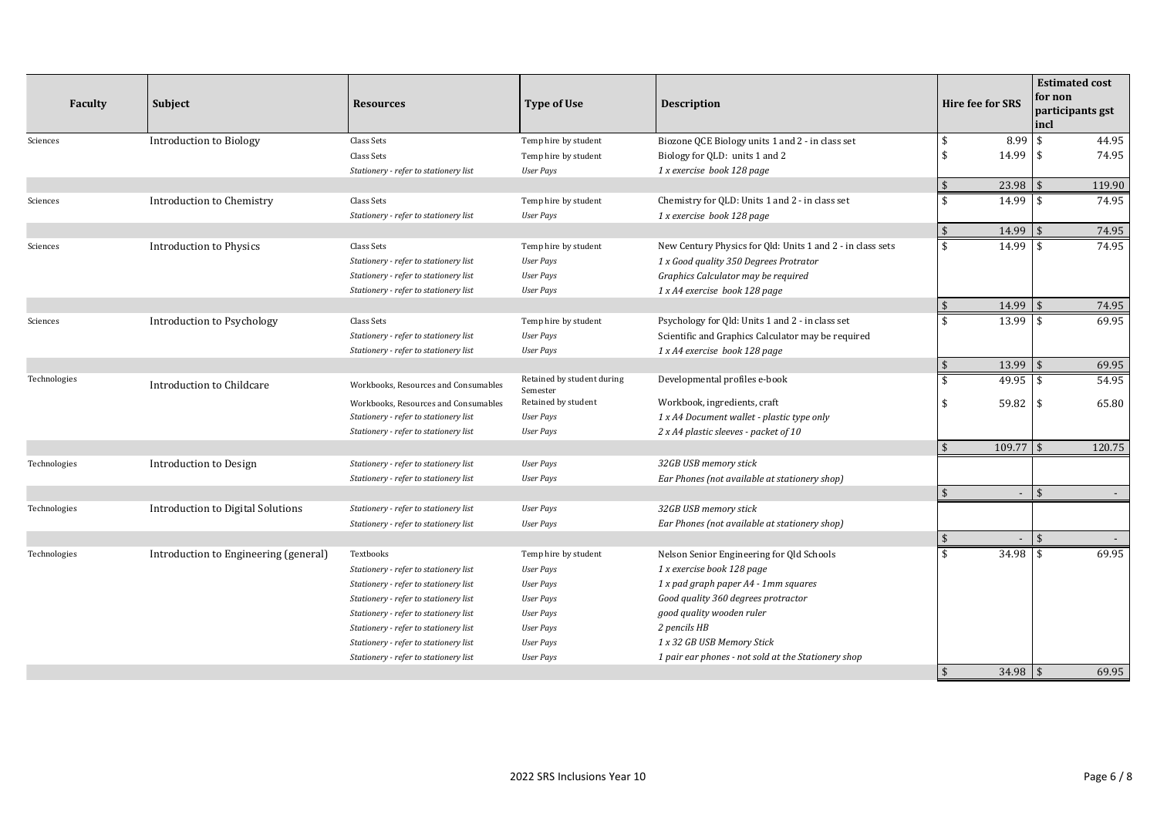| Faculty      | Subject                               | <b>Resources</b>                      | <b>Type of Use</b>                     | <b>Description</b>                                         |                           | <b>Hire fee for SRS</b> | <b>Estimated cost</b><br>for non<br>participants gst<br>incl |        |
|--------------|---------------------------------------|---------------------------------------|----------------------------------------|------------------------------------------------------------|---------------------------|-------------------------|--------------------------------------------------------------|--------|
| Sciences     | Introduction to Biology               | Class Sets                            | Temp hire by student                   | Biozone QCE Biology units 1 and 2 - in class set           | \$                        | 8.99                    | \$                                                           | 44.95  |
|              |                                       | Class Sets                            | Temp hire by student                   | Biology for QLD: units 1 and 2                             | $\mathbf{\hat{S}}$        | 14.99                   | \$                                                           | 74.95  |
|              |                                       | Stationery - refer to stationery list | <b>User Pays</b>                       | 1 x exercise book 128 page                                 |                           |                         |                                                              |        |
|              |                                       |                                       |                                        |                                                            | \$                        | 23.98                   |                                                              | 119.90 |
| Sciences     | Introduction to Chemistry             | Class Sets                            | Temp hire by student                   | Chemistry for QLD: Units 1 and 2 - in class set            | \$                        | 14.99                   | \$                                                           | 74.95  |
|              |                                       | Stationery - refer to stationery list | <b>User Pays</b>                       | 1 x exercise book 128 page                                 |                           |                         |                                                              |        |
|              |                                       |                                       |                                        |                                                            | $\frac{1}{2}$             | 14.99                   |                                                              | 74.95  |
| Sciences     | <b>Introduction to Physics</b>        | Class Sets                            | Temp hire by student                   | New Century Physics for Qld: Units 1 and 2 - in class sets | \$                        | 14.99                   | -\$                                                          | 74.95  |
|              |                                       | Stationery - refer to stationery list | <b>User Pays</b>                       | 1 x Good quality 350 Degrees Protrator                     |                           |                         |                                                              |        |
|              |                                       | Stationery - refer to stationery list | <b>User Pays</b>                       | Graphics Calculator may be required                        |                           |                         |                                                              |        |
|              |                                       | Stationery - refer to stationery list | <b>User Pays</b>                       | 1 x A4 exercise book 128 page                              |                           |                         |                                                              |        |
|              |                                       |                                       |                                        |                                                            | $\sqrt{5}$                | 14.99                   | $\mathbf{\hat{s}}$                                           | 74.95  |
| Sciences     | Introduction to Psychology            | Class Sets                            | Temp hire by student                   | Psychology for Qld: Units 1 and 2 - in class set           | $\mathbf{\hat{S}}$        | 13.99                   |                                                              | 69.95  |
|              |                                       | Stationery - refer to stationery list | <b>User Pays</b>                       | Scientific and Graphics Calculator may be required         |                           |                         |                                                              |        |
|              |                                       | Stationery - refer to stationery list | <b>User Pays</b>                       | 1 x A4 exercise book 128 page                              |                           |                         |                                                              |        |
|              |                                       |                                       |                                        |                                                            | $\sqrt{2}$                | 13.99                   | $\sqrt{5}$                                                   | 69.95  |
| Technologies | Introduction to Childcare             | Workbooks, Resources and Consumables  | Retained by student during<br>Semester | Developmental profiles e-book                              | \$                        | 49.95                   | \$                                                           | 54.95  |
|              |                                       | Workbooks, Resources and Consumables  | Retained by student                    | Workbook, ingredients, craft                               | \$                        | $59.82$ \$              |                                                              | 65.80  |
|              |                                       | Stationery - refer to stationery list | <b>User Pays</b>                       | 1 x A4 Document wallet - plastic type only                 |                           |                         |                                                              |        |
|              |                                       | Stationery - refer to stationery list | <b>User Pays</b>                       | 2 x A4 plastic sleeves - packet of 10                      |                           |                         |                                                              |        |
|              |                                       |                                       |                                        |                                                            | \$                        | $109.77$ \$             |                                                              | 120.75 |
| Technologies | Introduction to Design                | Stationery - refer to stationery list | <b>User Pays</b>                       | 32GB USB memory stick                                      |                           |                         |                                                              |        |
|              |                                       | Stationery - refer to stationery list | <b>User Pays</b>                       | Ear Phones (not available at stationery shop)              |                           |                         |                                                              |        |
|              |                                       |                                       |                                        |                                                            | \$                        |                         |                                                              |        |
| Technologies | Introduction to Digital Solutions     | Stationery - refer to stationery list | <b>User Pays</b>                       | 32GB USB memory stick                                      |                           |                         |                                                              |        |
|              |                                       | Stationery - refer to stationery list | <b>User Pays</b>                       | Ear Phones (not available at stationery shop)              |                           |                         |                                                              |        |
|              |                                       |                                       |                                        |                                                            | $\boldsymbol{\mathsf{S}}$ |                         | \$                                                           |        |
| Technologies | Introduction to Engineering (general) | Textbooks                             | Temp hire by student                   | Nelson Senior Engineering for Qld Schools                  | $\mathbf{\hat{S}}$        | 34.98                   | -\$                                                          | 69.95  |
|              |                                       | Stationery - refer to stationery list | <b>User Pays</b>                       | 1 x exercise book 128 page                                 |                           |                         |                                                              |        |
|              |                                       | Stationery - refer to stationery list | <b>User Pays</b>                       | 1 x pad graph paper A4 - 1mm squares                       |                           |                         |                                                              |        |
|              |                                       | Stationery - refer to stationery list | <b>User Pays</b>                       | Good quality 360 degrees protractor                        |                           |                         |                                                              |        |
|              |                                       | Stationery - refer to stationery list | <b>User Pays</b>                       | good quality wooden ruler                                  |                           |                         |                                                              |        |
|              |                                       | Stationery - refer to stationery list | <b>User Pays</b>                       | 2 pencils HB                                               |                           |                         |                                                              |        |
|              |                                       | Stationery - refer to stationery list | <b>User Pays</b>                       | 1 x 32 GB USB Memory Stick                                 |                           |                         |                                                              |        |
|              |                                       | Stationery - refer to stationery list | <b>User Pays</b>                       | 1 pair ear phones - not sold at the Stationery shop        |                           |                         |                                                              |        |
|              |                                       |                                       |                                        |                                                            | $\mathbf{\hat{s}}$        | $34.98$ \$              |                                                              | 69.95  |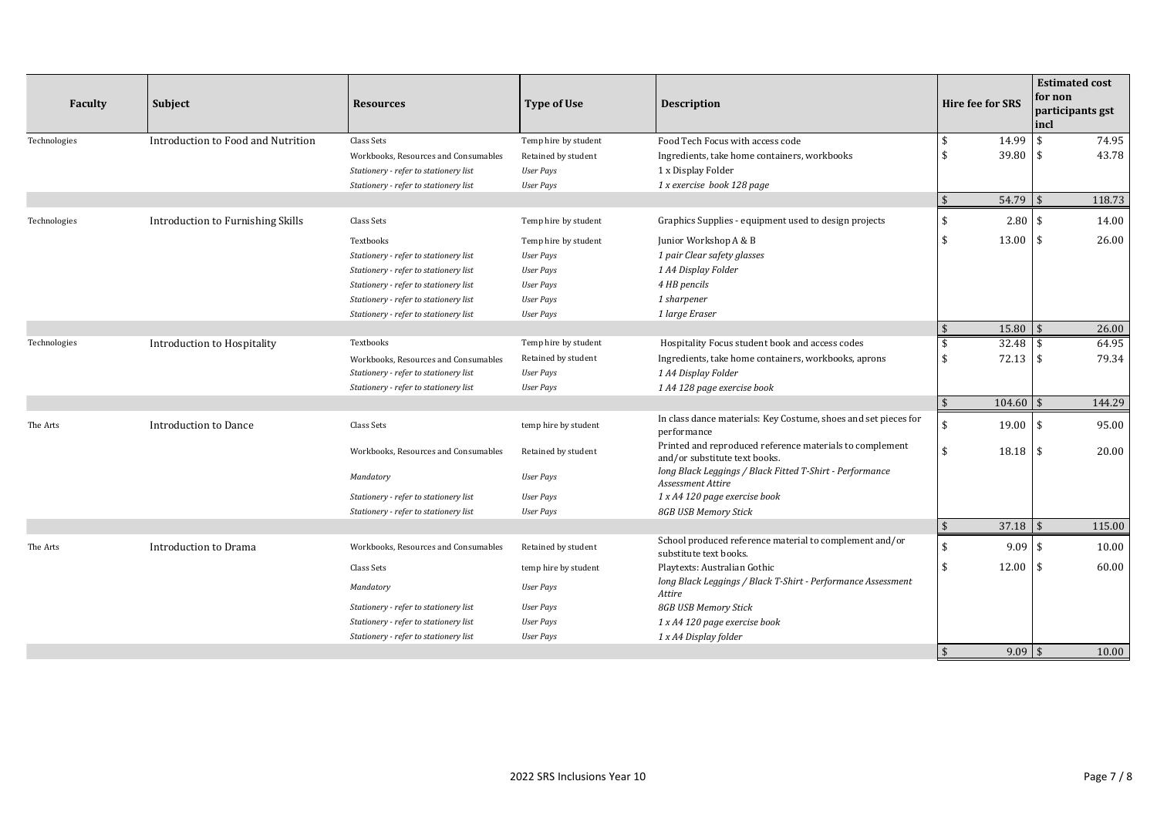| Faculty      | Subject                            | <b>Resources</b>                      | <b>Type of Use</b>   | <b>Description</b>                                                                        |            | <b>Hire fee for SRS</b> | <b>Estimated cost</b><br>for non<br>participants gst<br>incl |        |
|--------------|------------------------------------|---------------------------------------|----------------------|-------------------------------------------------------------------------------------------|------------|-------------------------|--------------------------------------------------------------|--------|
| Technologies | Introduction to Food and Nutrition | Class Sets                            | Temp hire by student | Food Tech Focus with access code                                                          | \$         | 14.99                   |                                                              | 74.95  |
|              |                                    | Workbooks, Resources and Consumables  | Retained by student  | Ingredients, take home containers, workbooks                                              | \$         | 39.80                   |                                                              | 43.78  |
|              |                                    | Stationery - refer to stationery list | <b>User Pays</b>     | 1 x Display Folder                                                                        |            |                         |                                                              |        |
|              |                                    | Stationery - refer to stationery list | <b>User Pays</b>     | 1 x exercise book 128 page                                                                |            |                         |                                                              |        |
|              |                                    |                                       |                      |                                                                                           | $\sqrt{5}$ | $54.79$ \\$             |                                                              | 118.73 |
| Technologies | Introduction to Furnishing Skills  | Class Sets                            | Temp hire by student | Graphics Supplies - equipment used to design projects                                     | \$         | $2.80$ \$               |                                                              | 14.00  |
|              |                                    | Textbooks                             | Temp hire by student | Junior Workshop A & B                                                                     | \$         | $13.00$ \ \$            |                                                              | 26.00  |
|              |                                    | Stationery - refer to stationery list | <b>User Pays</b>     | 1 pair Clear safety glasses                                                               |            |                         |                                                              |        |
|              |                                    | Stationery - refer to stationery list | <b>User Pays</b>     | 1 A4 Display Folder                                                                       |            |                         |                                                              |        |
|              |                                    | Stationery - refer to stationery list | <b>User Pays</b>     | 4 HB pencils                                                                              |            |                         |                                                              |        |
|              |                                    | Stationery - refer to stationery list | <b>User Pays</b>     | 1 sharpener                                                                               |            |                         |                                                              |        |
|              |                                    | Stationery - refer to stationery list | <b>User Pays</b>     | 1 large Eraser                                                                            |            |                         |                                                              |        |
|              |                                    |                                       |                      |                                                                                           | $\sqrt{5}$ | $15.80$ \$              |                                                              | 26.00  |
| Technologies | Introduction to Hospitality        | Textbooks                             | Temp hire by student | Hospitality Focus student book and access codes                                           | \$         | 32.48                   |                                                              | 64.95  |
|              |                                    | Workbooks, Resources and Consumables  | Retained by student  | Ingredients, take home containers, workbooks, aprons                                      | \$         | $72.13$ \\$             |                                                              | 79.34  |
|              |                                    | Stationery - refer to stationery list | User Pays            | 1 A4 Display Folder                                                                       |            |                         |                                                              |        |
|              |                                    | Stationery - refer to stationery list | <b>User Pays</b>     | 1 A4 128 page exercise book                                                               |            |                         |                                                              |        |
|              |                                    |                                       |                      |                                                                                           | $\sqrt{5}$ | 104.60                  |                                                              | 144.29 |
| The Arts     | Introduction to Dance              | Class Sets                            | temp hire by student | In class dance materials: Key Costume, shoes and set pieces for<br>performance            | \$         | $19.00$ \\$             |                                                              | 95.00  |
|              |                                    | Workbooks, Resources and Consumables  | Retained by student  | Printed and reproduced reference materials to complement<br>and/or substitute text books. | \$         | $18.18$ \$              |                                                              | 20.00  |
|              |                                    | Mandatory                             | <b>User Pays</b>     | long Black Leggings / Black Fitted T-Shirt - Performance<br>Assessment Attire             |            |                         |                                                              |        |
|              |                                    | Stationery - refer to stationery list | <b>User Pays</b>     | 1 x A4 120 page exercise book                                                             |            |                         |                                                              |        |
|              |                                    | Stationery - refer to stationery list | User Pays            | 8GB USB Memory Stick                                                                      |            |                         |                                                              |        |
|              |                                    |                                       |                      |                                                                                           | $\sqrt{5}$ | 37.18                   |                                                              | 115.00 |
| The Arts     | Introduction to Drama              | Workbooks, Resources and Consumables  | Retained by student  | School produced reference material to complement and/or<br>substitute text books.         | \$         | $9.09$ \$               |                                                              | 10.00  |
|              |                                    | Class Sets                            | temp hire by student | Playtexts: Australian Gothic                                                              | \$         | 12.00 \$                |                                                              | 60.00  |
|              |                                    | Mandatory                             | <b>User Pays</b>     | long Black Leggings / Black T-Shirt - Performance Assessment<br>Attire                    |            |                         |                                                              |        |
|              |                                    | Stationery - refer to stationery list | User Pays            | 8GB USB Memory Stick                                                                      |            |                         |                                                              |        |
|              |                                    | Stationery - refer to stationery list | User Pays            | 1 x A4 120 page exercise book                                                             |            |                         |                                                              |        |
|              |                                    | Stationery - refer to stationery list | <b>User Pays</b>     | 1 x A4 Display folder                                                                     |            |                         |                                                              |        |
|              |                                    |                                       |                      |                                                                                           | \$         | $9.09$ \$               |                                                              | 10.00  |